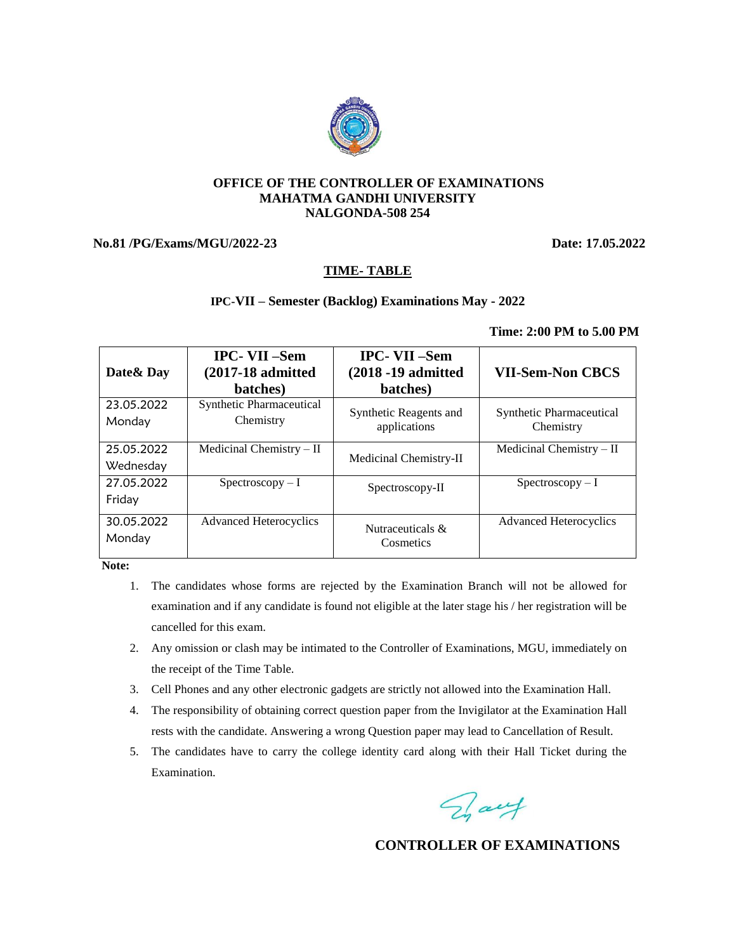#### **OFFICE OF THE CONTROLLER OF EXAMINATIONS MAHATMA GANDHI UNIVERSITY NALGONDA-508 254**

## **No.81 /PG/Exams/MGU/2022-23 Date: 17.05.2022**

## **TIME- TABLE**

### **IPC-VII – Semester (Backlog) Examinations May - 2022**

#### **Time: 2:00 PM to 5.00 PM**

| Date & Day              | <b>IPC-VII-Sem</b><br>$(2017-18$ admitted<br>batches) | <b>IPC-VII-Sem</b><br>(2018 -19 admitted<br>batches) | <b>VII-Sem-Non CBCS</b>               |
|-------------------------|-------------------------------------------------------|------------------------------------------------------|---------------------------------------|
| 23.05.2022<br>Monday    | Synthetic Pharmaceutical<br>Chemistry                 | Synthetic Reagents and<br>applications               | Synthetic Pharmaceutical<br>Chemistry |
| 25.05.2022<br>Wednesday | Medicinal Chemistry $-$ II                            | Medicinal Chemistry-II                               | Medicinal Chemistry $-II$             |
| 27.05.2022<br>Friday    | $Spectroscopy-I$                                      | Spectroscopy-II                                      | $Spectroscopy-I$                      |
| 30.05.2022<br>Monday    | <b>Advanced Heterocyclics</b>                         | Nutraceuticals &<br>Cosmetics                        | <b>Advanced Heterocyclics</b>         |

 **Note:** 

- 1. The candidates whose forms are rejected by the Examination Branch will not be allowed for examination and if any candidate is found not eligible at the later stage his / her registration will be cancelled for this exam.
- 2. Any omission or clash may be intimated to the Controller of Examinations, MGU, immediately on the receipt of the Time Table.
- 3. Cell Phones and any other electronic gadgets are strictly not allowed into the Examination Hall.
- 4. The responsibility of obtaining correct question paper from the Invigilator at the Examination Hall rests with the candidate. Answering a wrong Question paper may lead to Cancellation of Result.
- 5. The candidates have to carry the college identity card along with their Hall Ticket during the Examination.

Day

## **CONTROLLER OF EXAMINATIONS**

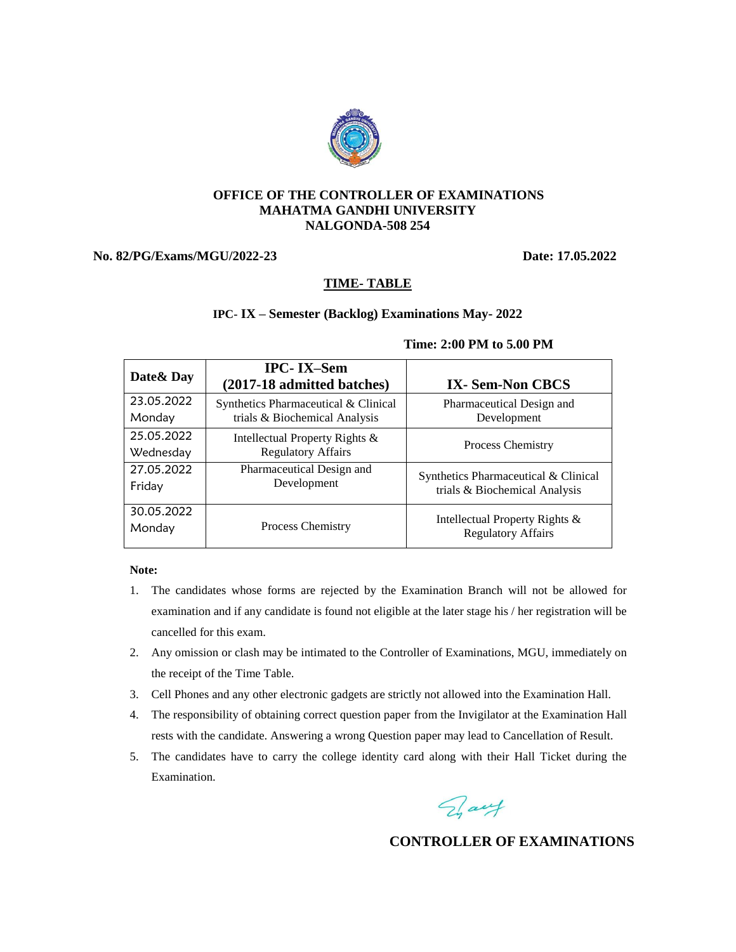

#### **OFFICE OF THE CONTROLLER OF EXAMINATIONS MAHATMA GANDHI UNIVERSITY NALGONDA-508 254**

## **No. 82/PG/Exams/MGU/2022-23 Date: 17.05.2022**

## **TIME- TABLE**

### **IPC- IX – Semester (Backlog) Examinations May- 2022**

| Date & Day | <b>IPC-IX-Sem</b><br>(2017-18 admitted batches) | <b>IX-Sem-Non CBCS</b>                                                |  |
|------------|-------------------------------------------------|-----------------------------------------------------------------------|--|
| 23.05.2022 | Synthetics Pharmaceutical & Clinical            | Pharmaceutical Design and<br>Development                              |  |
| Monday     | trials & Biochemical Analysis                   |                                                                       |  |
| 25.05.2022 | Intellectual Property Rights &                  |                                                                       |  |
| Wednesday  | <b>Regulatory Affairs</b>                       | <b>Process Chemistry</b>                                              |  |
| 27.05.2022 | Pharmaceutical Design and                       | Synthetics Pharmaceutical & Clinical<br>trials & Biochemical Analysis |  |
| Friday     | Development                                     |                                                                       |  |
| 30.05.2022 |                                                 | Intellectual Property Rights &                                        |  |
| Monday     | <b>Process Chemistry</b>                        | <b>Regulatory Affairs</b>                                             |  |

#### **Time: 2:00 PM to 5.00 PM**

#### **Note:**

- 1. The candidates whose forms are rejected by the Examination Branch will not be allowed for examination and if any candidate is found not eligible at the later stage his / her registration will be cancelled for this exam.
- 2. Any omission or clash may be intimated to the Controller of Examinations, MGU, immediately on the receipt of the Time Table.
- 3. Cell Phones and any other electronic gadgets are strictly not allowed into the Examination Hall.
- 4. The responsibility of obtaining correct question paper from the Invigilator at the Examination Hall rests with the candidate. Answering a wrong Question paper may lead to Cancellation of Result.
- 5. The candidates have to carry the college identity card along with their Hall Ticket during the Examination.

Fray

## **CONTROLLER OF EXAMINATIONS**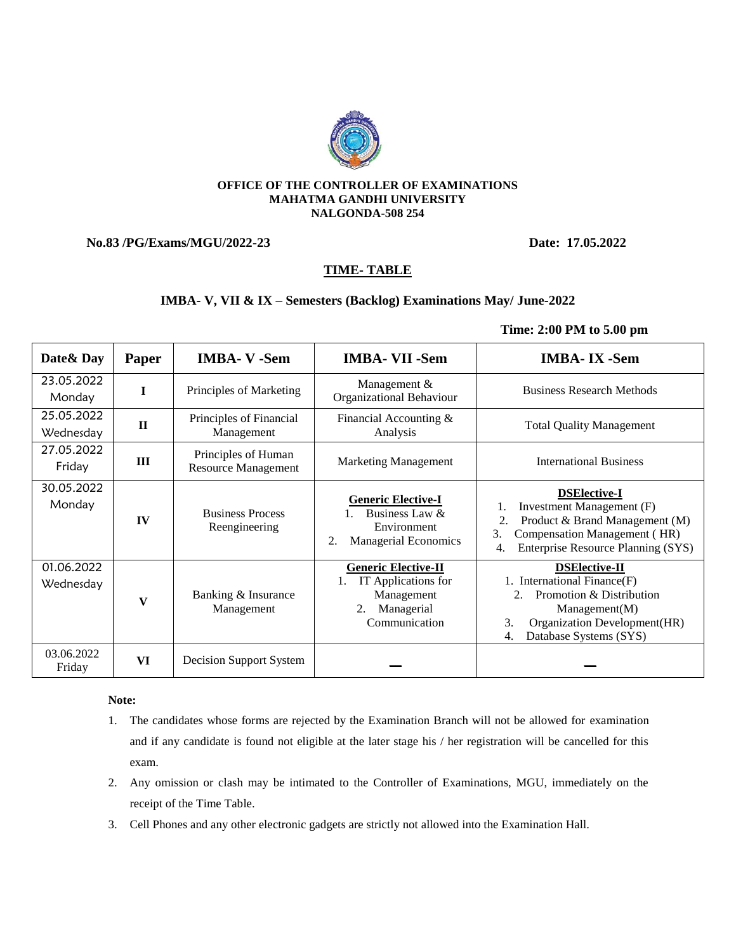#### **OFFICE OF THE CONTROLLER OF EXAMINATIONS MAHATMA GANDHI UNIVERSITY NALGONDA-508 254**

## **No.83 /PG/Exams/MGU/2022-23 Date: 17.05.2022**

## **TIME- TABLE**

### **IMBA- V, VII & IX – Semesters (Backlog) Examinations May/ June-2022**

### **Time: 2:00 PM to 5.00 pm**

| Date & Day              | Paper        | <b>IMBA-V-Sem</b>                                 | <b>IMBA- VII -Sem</b>                                                                           | <b>IMBA-IX</b> -Sem                                                                                                                                                              |
|-------------------------|--------------|---------------------------------------------------|-------------------------------------------------------------------------------------------------|----------------------------------------------------------------------------------------------------------------------------------------------------------------------------------|
| 23.05.2022<br>Monday    | I            | Principles of Marketing                           | Management &<br>Organizational Behaviour                                                        | <b>Business Research Methods</b>                                                                                                                                                 |
| 25.05.2022<br>Wednesday | $\mathbf{I}$ | Principles of Financial<br>Management             | Financial Accounting &<br>Analysis                                                              | <b>Total Quality Management</b>                                                                                                                                                  |
| 27.05.2022<br>Friday    | Ш            | Principles of Human<br><b>Resource Management</b> | <b>Marketing Management</b>                                                                     | <b>International Business</b>                                                                                                                                                    |
| 30.05.2022<br>Monday    | IV           | <b>Business Process</b><br>Reengineering          | <b>Generic Elective-I</b><br>Business Law &<br>Environment<br><b>Managerial Economics</b><br>2. | <b>DSElective-I</b><br>Investment Management (F)<br>1.<br>Product & Brand Management (M)<br>2.<br>3.<br>Compensation Management (HR)<br>Enterprise Resource Planning (SYS)<br>4. |
| 01.06.2022<br>Wednesday | V            | Banking & Insurance<br>Management                 | <b>Generic Elective-II</b><br>IT Applications for<br>Management<br>Managerial<br>Communication  | <b>DSElective-II</b><br>1. International Finance(F)<br>Promotion & Distribution<br>Management(M)<br>Organization Development(HR)<br>3.<br>Database Systems (SYS)<br>4.           |
| 03.06.2022<br>Friday    | VI           | Decision Support System                           |                                                                                                 |                                                                                                                                                                                  |

#### **Note:**

- 1. The candidates whose forms are rejected by the Examination Branch will not be allowed for examination and if any candidate is found not eligible at the later stage his / her registration will be cancelled for this exam.
- 2. Any omission or clash may be intimated to the Controller of Examinations, MGU, immediately on the receipt of the Time Table.
- 3. Cell Phones and any other electronic gadgets are strictly not allowed into the Examination Hall.